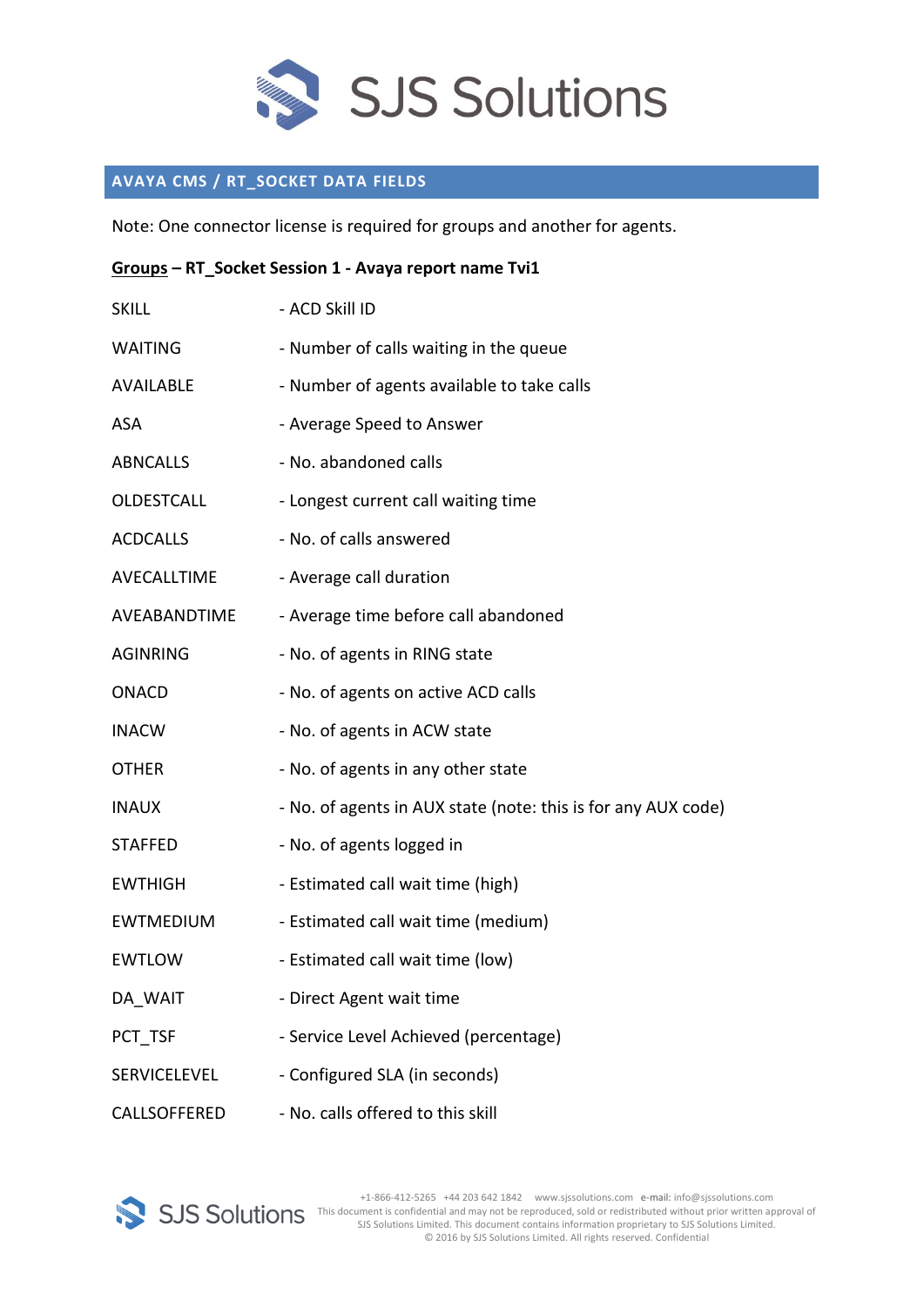

## **AVAYA CMS / RT\_SOCKET DATA FIELDS**

Note: One connector license is required for groups and another for agents.

| Groups - RT_Socket Session 1 - Avaya report name Tvi1 |                                                               |  |
|-------------------------------------------------------|---------------------------------------------------------------|--|
| <b>SKILL</b>                                          | - ACD Skill ID                                                |  |
| <b>WAITING</b>                                        | - Number of calls waiting in the queue                        |  |
| <b>AVAILABLE</b>                                      | - Number of agents available to take calls                    |  |
| <b>ASA</b>                                            | - Average Speed to Answer                                     |  |
| <b>ABNCALLS</b>                                       | - No. abandoned calls                                         |  |
| OLDESTCALL                                            | - Longest current call waiting time                           |  |
| <b>ACDCALLS</b>                                       | - No. of calls answered                                       |  |
| AVECALLTIME                                           | - Average call duration                                       |  |
| AVEABANDTIME                                          | - Average time before call abandoned                          |  |
| <b>AGINRING</b>                                       | - No. of agents in RING state                                 |  |
| <b>ONACD</b>                                          | - No. of agents on active ACD calls                           |  |
| <b>INACW</b>                                          | - No. of agents in ACW state                                  |  |
| <b>OTHER</b>                                          | - No. of agents in any other state                            |  |
| <b>INAUX</b>                                          | - No. of agents in AUX state (note: this is for any AUX code) |  |
| <b>STAFFED</b>                                        | - No. of agents logged in                                     |  |
| <b>EWTHIGH</b>                                        | - Estimated call wait time (high)                             |  |
| <b>EWTMEDIUM</b>                                      | - Estimated call wait time (medium)                           |  |
| <b>EWTLOW</b>                                         | - Estimated call wait time (low)                              |  |
| DA_WAIT                                               | - Direct Agent wait time                                      |  |
| PCT TSF                                               | - Service Level Achieved (percentage)                         |  |
| SERVICELEVEL                                          | - Configured SLA (in seconds)                                 |  |
| CALLSOFFERED                                          | - No. calls offered to this skill                             |  |